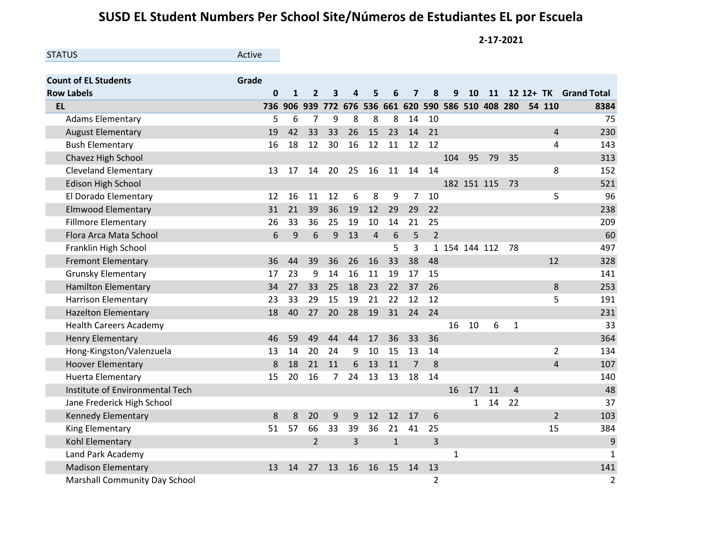## **SUSD EL Student Numbers Per School Site/Números de Estudiantes EL por Escuela**

**2-17-2021**

| <b>STATUS</b>                   | Active       |              |                |                |                                                 |                |              |                |                |               |              |           |                |                |                       |
|---------------------------------|--------------|--------------|----------------|----------------|-------------------------------------------------|----------------|--------------|----------------|----------------|---------------|--------------|-----------|----------------|----------------|-----------------------|
|                                 |              |              |                |                |                                                 |                |              |                |                |               |              |           |                |                |                       |
| <b>Count of EL Students</b>     | Grade        |              |                |                |                                                 |                |              |                |                |               |              |           |                |                |                       |
| <b>Row Labels</b>               | $\mathbf{0}$ | $\mathbf{1}$ | $\overline{2}$ | 3              | 4                                               | 5.             | 6            | 7              | 8              | 9             | <b>10</b>    | <b>11</b> |                |                | 12 12+ TK Grand Total |
| <b>EL</b>                       | 736          |              |                |                | 906 939 772 676 536 661 620 590 586 510 408 280 |                |              |                |                |               |              |           |                | 54 110         | 8384                  |
| <b>Adams Elementary</b>         | 5            | 6            | 7              | 9              | 8                                               | 8              | 8            | 14             | 10             |               |              |           |                |                | 75                    |
| <b>August Elementary</b>        | 19           | 42           | 33             | 33             | 26                                              | 15             | 23           | 14             | 21             |               |              |           |                | $\overline{4}$ | 230                   |
| <b>Bush Elementary</b>          | 16           | 18           | 12             | 30             | 16                                              | 12             | 11           | 12             | 12             |               |              |           |                | 4              | 143                   |
| Chavez High School              |              |              |                |                |                                                 |                |              |                |                | 104           | 95           | 79        | 35             |                | 313                   |
| <b>Cleveland Elementary</b>     | 13           | 17           | 14             | 20             | 25                                              | 16             | 11           | 14             | 14             |               |              |           |                | 8              | 152                   |
| <b>Edison High School</b>       |              |              |                |                |                                                 |                |              |                |                |               | 182 151 115  |           | 73             |                | 521                   |
| El Dorado Elementary            | 12           | 16           | 11             | 12             | 6                                               | 8              | 9            | $\overline{7}$ | 10             |               |              |           |                | 5              | 96                    |
| <b>Elmwood Elementary</b>       | 31           | 21           | 39             | 36             | 19                                              | 12             | 29           | 29             | 22             |               |              |           |                |                | 238                   |
| <b>Fillmore Elementary</b>      | 26           | 33           | 36             | 25             | 19                                              | 10             | 14           | 21             | 25             |               |              |           |                |                | 209                   |
| Flora Arca Mata School          | 6            | 9            | 6              | 9              | 13                                              | $\overline{4}$ | 6            | 5              | $\overline{2}$ |               |              |           |                |                | 60                    |
| Franklin High School            |              |              |                |                |                                                 |                | 5            | 3              |                | 1 154 144 112 |              |           | 78             |                | 497                   |
| <b>Fremont Elementary</b>       | 36           | 44           | 39             | 36             | 26                                              | 16             | 33           | 38             | 48             |               |              |           |                | 12             | 328                   |
| Grunsky Elementary              | 17           | 23           | 9              | 14             | 16                                              | 11             | 19           | 17             | 15             |               |              |           |                |                | 141                   |
| <b>Hamilton Elementary</b>      | 34           | 27           | 33             | 25             | 18                                              | 23             | 22           | 37             | 26             |               |              |           |                | 8              | 253                   |
| <b>Harrison Elementary</b>      | 23           | 33           | 29             | 15             | 19                                              | 21             | 22           | 12             | 12             |               |              |           |                | 5              | 191                   |
| <b>Hazelton Elementary</b>      | 18           | 40           | 27             | 20             | 28                                              | 19             | 31           | 24             | 24             |               |              |           |                |                | 231                   |
| <b>Health Careers Academy</b>   |              |              |                |                |                                                 |                |              |                |                | 16            | 10           | 6         | $\mathbf{1}$   |                | 33                    |
| <b>Henry Elementary</b>         | 46           | 59           | 49             | 44             | 44                                              | 17             | 36           | 33             | 36             |               |              |           |                |                | 364                   |
| Hong-Kingston/Valenzuela        | 13           | 14           | 20             | 24             | 9                                               | 10             | 15           | 13             | 14             |               |              |           |                | $\overline{2}$ | 134                   |
| <b>Hoover Elementary</b>        | 8            | 18           | 21             | 11             | 6                                               | 13             | 11           | $\overline{7}$ | 8              |               |              |           |                | $\overline{4}$ | 107                   |
| <b>Huerta Elementary</b>        | 15           | 20           | 16             | $\overline{7}$ | 24                                              | 13             | 13           | 18             | 14             |               |              |           |                |                | 140                   |
| Institute of Environmental Tech |              |              |                |                |                                                 |                |              |                |                | 16            | 17           | 11        | $\overline{4}$ |                | 48                    |
| Jane Frederick High School      |              |              |                |                |                                                 |                |              |                |                |               | $\mathbf{1}$ | 14        | 22             |                | 37                    |
| Kennedy Elementary              | 8            | 8            | 20             | 9              | 9                                               | 12             | 12           | 17             | 6              |               |              |           |                | $\overline{2}$ | 103                   |
| King Elementary                 | 51           | 57           | 66             | 33             | 39                                              | 36             | 21           | 41             | 25             |               |              |           |                | 15             | 384                   |
| Kohl Elementary                 |              |              | $\overline{2}$ |                | 3                                               |                | $\mathbf{1}$ |                | 3              |               |              |           |                |                | $9\,$                 |
| Land Park Academy               |              |              |                |                |                                                 |                |              |                |                | $\mathbf{1}$  |              |           |                |                | $\mathbf{1}$          |
| <b>Madison Elementary</b>       | 13           | 14           | 27             | 13             | 16                                              | 16             | 15           | 14             | 13             |               |              |           |                |                | 141                   |
| Marshall Community Day School   |              |              |                |                |                                                 |                |              |                | $\overline{2}$ |               |              |           |                |                | $\overline{2}$        |